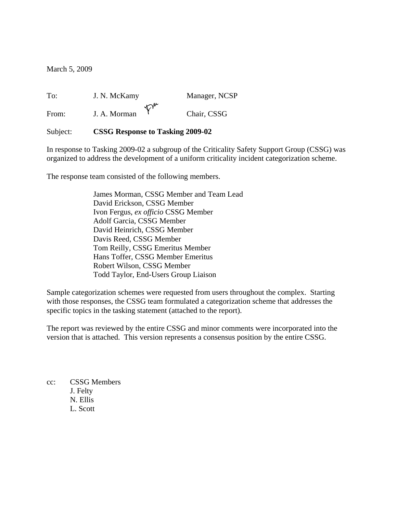March 5, 2009

To: J. N. McKamy Manager, NCSP<br>From:  $\mathbf{I} \triangle \mathbf{M}$ From: J. A. Morman <sup>T</sup> Chair, CSSG

#### Subject: **CSSG Response to Tasking 2009-02**

In response to Tasking 2009-02 a subgroup of the Criticality Safety Support Group (CSSG) was organized to address the development of a uniform criticality incident categorization scheme.

The response team consisted of the following members.

James Morman, CSSG Member and Team Lead David Erickson, CSSG Member Ivon Fergus, *ex officio* CSSG Member Adolf Garcia, CSSG Member David Heinrich, CSSG Member Davis Reed, CSSG Member Tom Reilly, CSSG Emeritus Member Hans Toffer, CSSG Member Emeritus Robert Wilson, CSSG Member Todd Taylor, End-Users Group Liaison

Sample categorization schemes were requested from users throughout the complex. Starting with those responses, the CSSG team formulated a categorization scheme that addresses the specific topics in the tasking statement (attached to the report).

The report was reviewed by the entire CSSG and minor comments were incorporated into the version that is attached. This version represents a consensus position by the entire CSSG.

cc: CSSG Members J. Felty N. Ellis L. Scott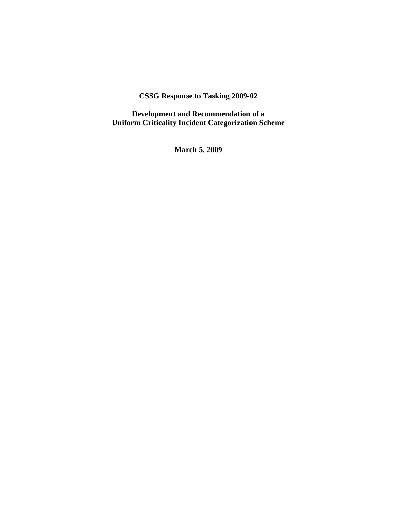# **CSSG Response to Tasking 2009-02**

**Development and Recommendation of a Uniform Criticality Incident Categorization Scheme** 

**March 5, 2009**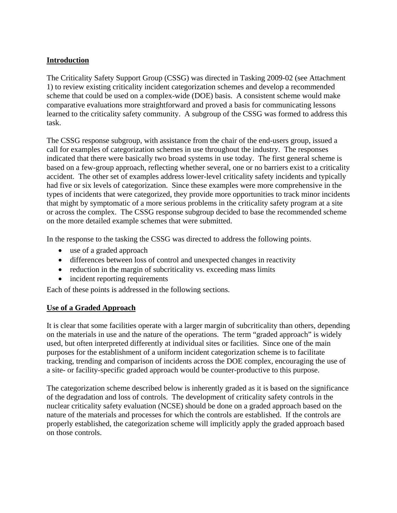## **Introduction**

The Criticality Safety Support Group (CSSG) was directed in Tasking 2009-02 (see Attachment 1) to review existing criticality incident categorization schemes and develop a recommended scheme that could be used on a complex-wide (DOE) basis. A consistent scheme would make comparative evaluations more straightforward and proved a basis for communicating lessons learned to the criticality safety community. A subgroup of the CSSG was formed to address this task.

The CSSG response subgroup, with assistance from the chair of the end-users group, issued a call for examples of categorization schemes in use throughout the industry. The responses indicated that there were basically two broad systems in use today. The first general scheme is based on a few-group approach, reflecting whether several, one or no barriers exist to a criticality accident. The other set of examples address lower-level criticality safety incidents and typically had five or six levels of categorization. Since these examples were more comprehensive in the types of incidents that were categorized, they provide more opportunities to track minor incidents that might by symptomatic of a more serious problems in the criticality safety program at a site or across the complex. The CSSG response subgroup decided to base the recommended scheme on the more detailed example schemes that were submitted.

In the response to the tasking the CSSG was directed to address the following points.

- use of a graded approach
- differences between loss of control and unexpected changes in reactivity
- reduction in the margin of subcriticality vs. exceeding mass limits
- incident reporting requirements

Each of these points is addressed in the following sections.

## **Use of a Graded Approach**

It is clear that some facilities operate with a larger margin of subcriticality than others, depending on the materials in use and the nature of the operations. The term "graded approach" is widely used, but often interpreted differently at individual sites or facilities. Since one of the main purposes for the establishment of a uniform incident categorization scheme is to facilitate tracking, trending and comparison of incidents across the DOE complex, encouraging the use of a site- or facility-specific graded approach would be counter-productive to this purpose.

The categorization scheme described below is inherently graded as it is based on the significance of the degradation and loss of controls. The development of criticality safety controls in the nuclear criticality safety evaluation (NCSE) should be done on a graded approach based on the nature of the materials and processes for which the controls are established. If the controls are properly established, the categorization scheme will implicitly apply the graded approach based on those controls.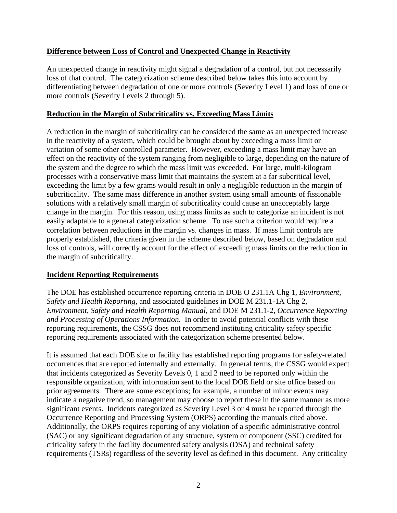# **Difference between Loss of Control and Unexpected Change in Reactivity**

An unexpected change in reactivity might signal a degradation of a control, but not necessarily loss of that control. The categorization scheme described below takes this into account by differentiating between degradation of one or more controls (Severity Level 1) and loss of one or more controls (Severity Levels 2 through 5).

# **Reduction in the Margin of Subcriticality vs. Exceeding Mass Limits**

A reduction in the margin of subcriticality can be considered the same as an unexpected increase in the reactivity of a system, which could be brought about by exceeding a mass limit or variation of some other controlled parameter. However, exceeding a mass limit may have an effect on the reactivity of the system ranging from negligible to large, depending on the nature of the system and the degree to which the mass limit was exceeded. For large, multi-kilogram processes with a conservative mass limit that maintains the system at a far subcritical level, exceeding the limit by a few grams would result in only a negligible reduction in the margin of subcriticality. The same mass difference in another system using small amounts of fissionable solutions with a relatively small margin of subcriticality could cause an unacceptably large change in the margin. For this reason, using mass limits as such to categorize an incident is not easily adaptable to a general categorization scheme. To use such a criterion would require a correlation between reductions in the margin vs. changes in mass. If mass limit controls are properly established, the criteria given in the scheme described below, based on degradation and loss of controls, will correctly account for the effect of exceeding mass limits on the reduction in the margin of subcriticality.

## **Incident Reporting Requirements**

The DOE has established occurrence reporting criteria in DOE O 231.1A Chg 1, *Environment, Safety and Health Reporting*, and associated guidelines in DOE M 231.1-1A Chg 2, *Environment, Safety and Health Reporting Manual*, and DOE M 231.1-2, *Occurrence Reporting and Processing of Operations Information*. In order to avoid potential conflicts with these reporting requirements, the CSSG does not recommend instituting criticality safety specific reporting requirements associated with the categorization scheme presented below.

It is assumed that each DOE site or facility has established reporting programs for safety-related occurrences that are reported internally and externally. In general terms, the CSSG would expect that incidents categorized as Severity Levels 0, 1 and 2 need to be reported only within the responsible organization, with information sent to the local DOE field or site office based on prior agreements. There are some exceptions; for example, a number of minor events may indicate a negative trend, so management may choose to report these in the same manner as more significant events. Incidents categorized as Severity Level 3 or 4 must be reported through the Occurrence Reporting and Processing System (ORPS) according the manuals cited above. Additionally, the ORPS requires reporting of any violation of a specific administrative control (SAC) or any significant degradation of any structure, system or component (SSC) credited for criticality safety in the facility documented safety analysis (DSA) and technical safety requirements (TSRs) regardless of the severity level as defined in this document. Any criticality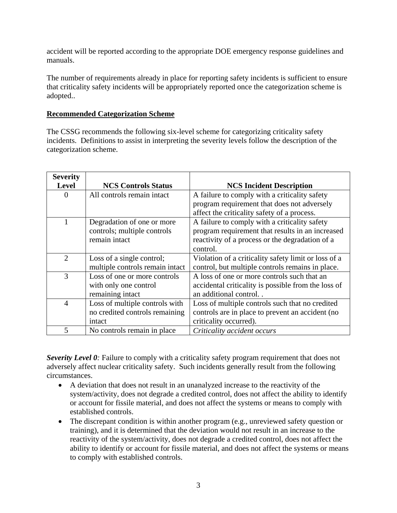accident will be reported according to the appropriate DOE emergency response guidelines and manuals.

The number of requirements already in place for reporting safety incidents is sufficient to ensure that criticality safety incidents will be appropriately reported once the categorization scheme is adopted..

#### **Recommended Categorization Scheme**

The CSSG recommends the following six-level scheme for categorizing criticality safety incidents. Definitions to assist in interpreting the severity levels follow the description of the categorization scheme.

| <b>Severity</b> |                                 |                                                      |
|-----------------|---------------------------------|------------------------------------------------------|
| <b>Level</b>    | <b>NCS Controls Status</b>      | <b>NCS Incident Description</b>                      |
| 0               | All controls remain intact      | A failure to comply with a criticality safety        |
|                 |                                 | program requirement that does not adversely          |
|                 |                                 | affect the criticality safety of a process.          |
| 1               | Degradation of one or more      | A failure to comply with a criticality safety        |
|                 | controls; multiple controls     | program requirement that results in an increased     |
|                 | remain intact                   | reactivity of a process or the degradation of a      |
|                 |                                 | control.                                             |
| 2               | Loss of a single control;       | Violation of a criticality safety limit or loss of a |
|                 | multiple controls remain intact | control, but multiple controls remains in place.     |
| 3               | Loss of one or more controls    | A loss of one or more controls such that an          |
|                 | with only one control           | accidental criticality is possible from the loss of  |
|                 | remaining intact                | an additional control                                |
| $\overline{4}$  | Loss of multiple controls with  | Loss of multiple controls such that no credited      |
|                 | no credited controls remaining  | controls are in place to prevent an accident (no     |
|                 | intact                          | criticality occurred).                               |
| 5               | No controls remain in place     | Criticality accident occurs                          |

*Severity Level 0*: Failure to comply with a criticality safety program requirement that does not adversely affect nuclear criticality safety. Such incidents generally result from the following circumstances.

- A deviation that does not result in an unanalyzed increase to the reactivity of the system/activity, does not degrade a credited control, does not affect the ability to identify or account for fissile material, and does not affect the systems or means to comply with established controls.
- The discrepant condition is within another program (e.g., unreviewed safety question or training), and it is determined that the deviation would not result in an increase to the reactivity of the system/activity, does not degrade a credited control, does not affect the ability to identify or account for fissile material, and does not affect the systems or means to comply with established controls.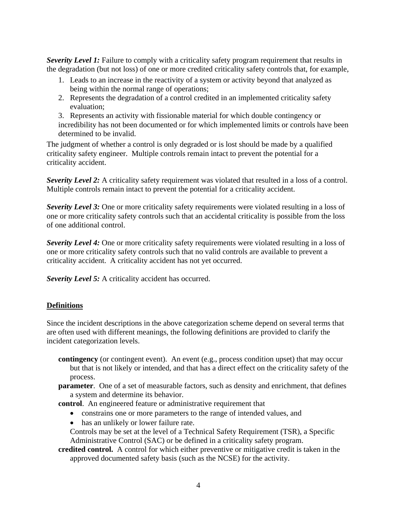*Severity Level 1:* Failure to comply with a criticality safety program requirement that results in the degradation (but not loss) of one or more credited criticality safety controls that, for example,

- 1. Leads to an increase in the reactivity of a system or activity beyond that analyzed as being within the normal range of operations;
- 2. Represents the degradation of a control credited in an implemented criticality safety evaluation;

3. Represents an activity with fissionable material for which double contingency or incredibility has not been documented or for which implemented limits or controls have been determined to be invalid.

The judgment of whether a control is only degraded or is lost should be made by a qualified criticality safety engineer. Multiple controls remain intact to prevent the potential for a criticality accident.

*Severity Level 2:* A criticality safety requirement was violated that resulted in a loss of a control. Multiple controls remain intact to prevent the potential for a criticality accident.

*Severity Level 3:* One or more criticality safety requirements were violated resulting in a loss of one or more criticality safety controls such that an accidental criticality is possible from the loss of one additional control.

*Severity Level 4:* One or more criticality safety requirements were violated resulting in a loss of one or more criticality safety controls such that no valid controls are available to prevent a criticality accident. A criticality accident has not yet occurred.

*Severity Level 5:* A criticality accident has occurred.

## **Definitions**

Since the incident descriptions in the above categorization scheme depend on several terms that are often used with different meanings, the following definitions are provided to clarify the incident categorization levels.

- **contingency** (or contingent event). An event (e.g., process condition upset) that may occur but that is not likely or intended, and that has a direct effect on the criticality safety of the process.
- **parameter**. One of a set of measurable factors, such as density and enrichment, that defines a system and determine its behavior.
- **control**. An engineered feature or administrative requirement that
	- constrains one or more parameters to the range of intended values, and
	- has an unlikely or lower failure rate.

Controls may be set at the level of a Technical Safety Requirement (TSR), a Specific Administrative Control (SAC) or be defined in a criticality safety program.

**credited control.** A control for which either preventive or mitigative credit is taken in the approved documented safety basis (such as the NCSE) for the activity.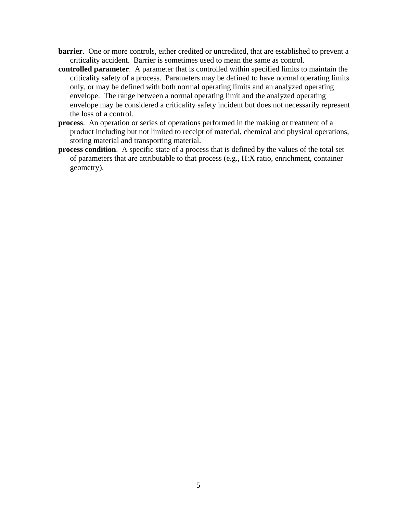- **barrier**. One or more controls, either credited or uncredited, that are established to prevent a criticality accident. Barrier is sometimes used to mean the same as control.
- **controlled parameter**. A parameter that is controlled within specified limits to maintain the criticality safety of a process. Parameters may be defined to have normal operating limits only, or may be defined with both normal operating limits and an analyzed operating envelope. The range between a normal operating limit and the analyzed operating envelope may be considered a criticality safety incident but does not necessarily represent the loss of a control.
- **process**. An operation or series of operations performed in the making or treatment of a product including but not limited to receipt of material, chemical and physical operations, storing material and transporting material.
- **process condition**. A specific state of a process that is defined by the values of the total set of parameters that are attributable to that process (e.g., H:X ratio, enrichment, container geometry).